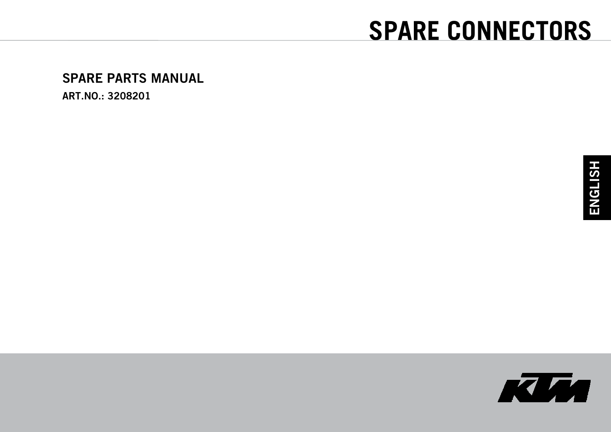# **SPARE CONNECTORS**

#### **SPARE PARTS MANUAL**

**ART.NO.: 3208201** 

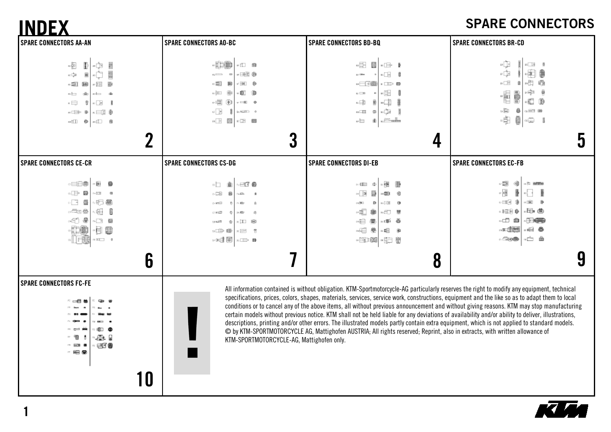### **SPARE CONNECTORS**

| <b>SPARE CONNECTORS AO-BC</b><br>中心<br>- 田 鶴<br>- 162 0<br>$\overline{a}$<br>$\hfill \square$<br>∞面<br>胸<br>8 ⊡⊡√<br>画<br>白鱼<br>∞¦⊞<br>$\sqrt{2}$ 0<br>$v = 10$<br>$\approx \boxed{\geq}$<br>$\frac{1}{2}$<br><b>BANKERTH</b>                                                                                                                       | <b>SPARE CONNECTORS BD-BQ</b><br>$\frac{1}{\sqrt{2}}$<br>諺<br>$\mathbb{R} \boxtimes \mathbb{R}$<br>⊷⊡⊟ 8<br>as Gilbert<br>--⊟ (鏡<br>$ \Rightarrow$ 0<br>׌<br>$n \equiv 0$<br>- 13<br>≖中<br>樂 | <b>SPARE CONNECTORS BR-CD</b><br>eÙ∘<br>$n \equiv n$<br>$\iota\Gamma\bigcup_{i=1}^d\mathbb{E}$<br>啊<br>×È,<br>骨<br>ev <u>E</u><br>ø<br>×≑<br>4<br>AD.<br>a <b>E</b><br>面                                                                                                                                                                                                                                                                                                                                                                                                                                                                                                                                                                                                                                                                                                                                                                                      |
|-----------------------------------------------------------------------------------------------------------------------------------------------------------------------------------------------------------------------------------------------------------------------------------------------------------------------------------------------------|----------------------------------------------------------------------------------------------------------------------------------------------------------------------------------------------|---------------------------------------------------------------------------------------------------------------------------------------------------------------------------------------------------------------------------------------------------------------------------------------------------------------------------------------------------------------------------------------------------------------------------------------------------------------------------------------------------------------------------------------------------------------------------------------------------------------------------------------------------------------------------------------------------------------------------------------------------------------------------------------------------------------------------------------------------------------------------------------------------------------------------------------------------------------|
|                                                                                                                                                                                                                                                                                                                                                     |                                                                                                                                                                                              |                                                                                                                                                                                                                                                                                                                                                                                                                                                                                                                                                                                                                                                                                                                                                                                                                                                                                                                                                               |
| $\begin{picture}(40,40) \put(0,0){\line(1,0){10}} \put(15,0){\line(1,0){10}} \put(15,0){\line(1,0){10}} \put(15,0){\line(1,0){10}} \put(15,0){\line(1,0){10}} \put(15,0){\line(1,0){10}} \put(15,0){\line(1,0){10}} \put(15,0){\line(1,0){10}} \put(15,0){\line(1,0){10}} \put(15,0){\line(1,0){10}} \put(15,0){\line(1,0){10}} \put(15,0){\line(1$ | où<br>$\mathbb{R}^n$<br>$\alpha$<br>n <del>Calle</del><br>u⊣<br>勴                                                                                                                            | $\omega_{\rm{min}}^{\rm{max}}$<br>₿<br>$m = 1$<br>$\omega$<br>ē<br>$\frac{1}{\sqrt{2}}$ is                                                                                                                                                                                                                                                                                                                                                                                                                                                                                                                                                                                                                                                                                                                                                                                                                                                                    |
| 3<br><b>SPARE CONNECTORS CS-DG</b>                                                                                                                                                                                                                                                                                                                  | 4                                                                                                                                                                                            | 5<br><b>SPARE CONNECTORS EC-FB</b>                                                                                                                                                                                                                                                                                                                                                                                                                                                                                                                                                                                                                                                                                                                                                                                                                                                                                                                            |
| √⊟3⊺®<br>∝⊡⊥<br>適<br>$\sim$ DSB<br>臉<br>$\sim 125$<br>$\alpha$ and<br>$\alpha$<br>÷<br>$\alpha = 1$<br>は色<br>×⊡ ⊞0<br>$0.9$ Hard III<br>$\oplus$<br>$\mathbb{C} \mathbb{C} \mathbb{C} \mathbb{C} \mathbb{C} \mathbb{C}$<br>$R \equiv 8$<br>⊶dalal∝m ∎                                                                                               | 唱 圕<br>$\approx 4000$<br>- 200<br>- 国田<br>-90<br>一遍<br>DR BELL<br>D.<br>ACE O<br>÷E<br>鋤<br>4日 蘭<br>◎ ⊜<br>.n≝ &<br>~⊟ ®<br>-68<br>一般<br>• 肺 ®<br>- 第1章                                      | $\sim$ 1200<br>û<br>$+31$ million<br>$\sigma$<br>-田田 彦<br>« NBI »<br>品曲<br>- 日日 ●<br>- 一 曲<br>・日の美し<br>中心图<br>∞⊟ ⊜<br>$  -$<br>.⊆ <b>⊙®</b>                                                                                                                                                                                                                                                                                                                                                                                                                                                                                                                                                                                                                                                                                                                                                                                                                   |
|                                                                                                                                                                                                                                                                                                                                                     |                                                                                                                                                                                              | 9                                                                                                                                                                                                                                                                                                                                                                                                                                                                                                                                                                                                                                                                                                                                                                                                                                                                                                                                                             |
|                                                                                                                                                                                                                                                                                                                                                     |                                                                                                                                                                                              | <b>SPARE CONNECTORS DI-EB</b><br>8<br>All information contained is without obligation. KTM-Sportmotorcycle-AG particularly reserves the right to modify any equipment, technical<br>specifications, prices, colors, shapes, materials, services, service work, constructions, equipment and the like so as to adapt them to local<br>conditions or to cancel any of the above items, all without previous announcement and without giving reasons. KTM may stop manufacturing<br>certain models without previous notice. KTM shall not be held liable for any deviations of availability and/or ability to deliver, illustrations,<br>descriptions, printing and/or other errors. The illustrated models partly contain extra equipment, which is not applied to standard models.<br>C by KTM-SPORTMOTORCYCLE AG, Mattighofen AUSTRIA; All rights reserved; Reprint, also in extracts, with written allowance of<br>KTM-SPORTMOTORCYCLE-AG, Mattighofen only. |

**1** 

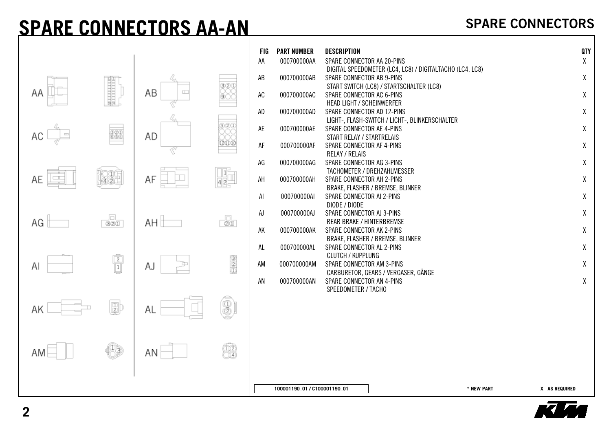### **SPARE CONNECTORS AA-AN**

|                |                                                                       |              |                               | <b>FIG</b><br>AA | <b>PART NUMBER</b><br>000700000AA | <b>DESCRIPTION</b><br>SPARE CONNECTOR AA 20-PINS                                                                                                               |                             | QTY<br>$\mathsf{X}% _{0}$ |
|----------------|-----------------------------------------------------------------------|--------------|-------------------------------|------------------|-----------------------------------|----------------------------------------------------------------------------------------------------------------------------------------------------------------|-----------------------------|---------------------------|
| ΑA             | <b>Maritaniana</b>                                                    | AB<br>$\Box$ | 32I                           | AB<br>AC         | 000700000AB<br>000700000AC        | DIGITAL SPEEDOMETER (LC4, LC8) / DIGITALTACHO (LC4, LC8)<br>SPARE CONNECTOR AB 9-PINS<br>START SWITCH (LC8) / STARTSCHALTER (LC8)<br>SPARE CONNECTOR AC 6-PINS |                             | χ<br>$\mathsf{X}% _{0}$   |
|                |                                                                       |              |                               | AD               | 000700000AD                       | <b>HEAD LIGHT / SCHEINWERFER</b><br>SPARE CONNECTOR AD 12-PINS                                                                                                 |                             | χ                         |
| $\equiv$<br>АC | 220                                                                   | AD           |                               | AE               | 000700000AE                       | LIGHT-, FLASH-SWITCH / LICHT-, BLINKERSCHALTER<br>SPARE CONNECTOR AE 4-PINS<br>START RELAY / STARTRELAIS                                                       |                             | χ                         |
|                |                                                                       |              | 121110                        | AF               | 000700000AF                       | SPARE CONNECTOR AF 4-PINS<br><b>RELAY / RELAIS</b>                                                                                                             |                             | χ                         |
| AE             | 830                                                                   | AF           | 42-                           | AG<br>AH         | 000700000AG<br>000700000AH        | SPARE CONNECTOR AG 3-PINS<br>TACHOMETER / DREHZAHLMESSER<br>SPARE CONNECTOR AH 2-PINS                                                                          |                             | $\mathsf{X}% _{0}$<br>χ   |
|                |                                                                       |              |                               | AI               | 000700000AI                       | BRAKE, FLASHER / BREMSE, BLINKER<br>SPARE CONNECTOR AI 2-PINS<br>DIODE / DIODE                                                                                 |                             | χ                         |
| AG             | Jol,<br>ভাত্তা                                                        | AH i         | $\frac{\square}{\boxtimes 0}$ | AJ               | 000700000AJ                       | SPARE CONNECTOR AJ 3-PINS<br><b>REAR BRAKE / HINTERBREMSE</b>                                                                                                  |                             | χ                         |
|                |                                                                       |              |                               | AK<br>AL         | 000700000AK<br>000700000AL        | SPARE CONNECTOR AK 2-PINS<br>BRAKE, FLASHER / BREMSE, BLINKER<br>SPARE CONNECTOR AL 2-PINS                                                                     |                             | χ<br>χ                    |
| Al             | $\begin{tabular}{ c c } \hline 2 \\ \hline 1 \\ \hline \end{tabular}$ | AJ           | 3<br>8                        | AM               | 000700000AM                       | <b>CLUTCH / KUPPLUNG</b><br>SPARE CONNECTOR AM 3-PINS                                                                                                          |                             | χ                         |
|                |                                                                       |              |                               | AN               | 000700000AN                       | CARBURETOR, GEARS / VERGASER, GÄNGE<br>SPARE CONNECTOR AN 4-PINS<br>SPEEDOMETER / TACHO                                                                        |                             | χ                         |
| AK             | 郾                                                                     | AL           | 3)                            |                  |                                   |                                                                                                                                                                |                             |                           |
| AM             | $\mathbb{C}$                                                          | ΑN           | 02)<br>Ora                    |                  |                                   |                                                                                                                                                                |                             |                           |
|                |                                                                       |              |                               |                  | 100001190_01 / C100001190_01      |                                                                                                                                                                | * NEW PART<br>X AS REQUIRED |                           |

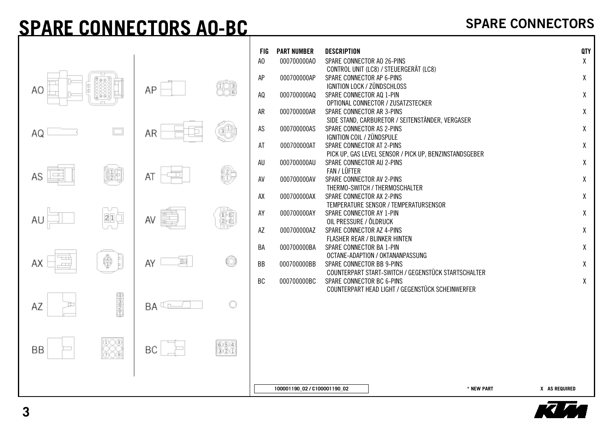## **SPARE CONNECTORS AO-BC**

|    |                                                                                                                                                                                                                                                                                                                                               |                |            | <b>FIG</b><br>A <sub>0</sub> | <b>PART NUMBER</b><br>000700000A0 | <b>DESCRIPTION</b><br>SPARE CONNECTOR AO 26-PINS                |                                                        |            | QTY<br>χ      |
|----|-----------------------------------------------------------------------------------------------------------------------------------------------------------------------------------------------------------------------------------------------------------------------------------------------------------------------------------------------|----------------|------------|------------------------------|-----------------------------------|-----------------------------------------------------------------|--------------------------------------------------------|------------|---------------|
| AO |                                                                                                                                                                                                                                                                                                                                               | AP             | 182        | AP                           | 000700000AP                       | SPARE CONNECTOR AP 6-PINS<br><b>IGNITION LOCK / ZÜNDSCHLOSS</b> | CONTROL UNIT (LC8) / STEUERGERÄT (LC8)                 |            | χ             |
|    |                                                                                                                                                                                                                                                                                                                                               |                |            | AQ                           | 000700000AQ                       | SPARE CONNECTOR AQ 1-PIN                                        | OPTIONAL CONNECTOR / ZUSATZSTECKER                     |            | χ             |
|    |                                                                                                                                                                                                                                                                                                                                               |                |            | AR                           | 000700000AR                       | SPARE CONNECTOR AR 3-PINS                                       | SIDE STAND, CARBURETOR / SEITENSTÄNDER, VERGASER       |            | χ             |
| AQ | $\Box$                                                                                                                                                                                                                                                                                                                                        | AR             | 69.        | AS                           | 000700000AS                       | SPARE CONNECTOR AS 2-PINS<br>IGNITION COIL / ZÜNDSPULE          |                                                        |            | χ             |
|    |                                                                                                                                                                                                                                                                                                                                               |                |            | AT                           | 000700000AT                       | SPARE CONNECTOR AT 2-PINS                                       | PICK UP, GAS LEVEL SENSOR / PICK UP, BENZINSTANDSGEBER |            | χ             |
|    |                                                                                                                                                                                                                                                                                                                                               |                |            | AU                           | 000700000AU                       | SPARE CONNECTOR AU 2-PINS<br>FAN / LÜFTER                       |                                                        |            | χ             |
| AS | 髄                                                                                                                                                                                                                                                                                                                                             | ΑT             | 13)        | AV                           | 000700000AV                       | SPARE CONNECTOR AV 2-PINS                                       | THERMO-SWITCH / THERMOSCHALTER                         |            | χ             |
|    |                                                                                                                                                                                                                                                                                                                                               |                |            | AX                           | 000700000AX                       | SPARE CONNECTOR AX 2-PINS                                       |                                                        |            | χ             |
|    | 21(                                                                                                                                                                                                                                                                                                                                           | AV             | 01         | AY                           | 000700000AY                       | SPARE CONNECTOR AY 1-PIN                                        | TEMPERATURE SENSOR / TEMPERATURSENSOR                  |            | χ             |
| AU |                                                                                                                                                                                                                                                                                                                                               |                |            | AZ                           | 000700000AZ                       | OIL PRESSURE / ÖLDRUCK<br>SPARE CONNECTOR AZ 4-PINS             |                                                        |            | χ             |
|    |                                                                                                                                                                                                                                                                                                                                               |                |            | BA                           | 000700000BA                       | FLASHER REAR / BLINKER HINTEN<br>SPARE CONNECTOR BA 1-PIN       |                                                        |            | χ             |
| ΑX | 6                                                                                                                                                                                                                                                                                                                                             | E<br>AY        | O          | <b>BB</b>                    | 000700000BB                       | SPARE CONNECTOR BB 9-PINS                                       | OCTANE-ADAPTION / OKTANANPASSUNG                       |            | χ             |
|    |                                                                                                                                                                                                                                                                                                                                               |                |            | BC                           | 000700000BC                       | SPARE CONNECTOR BC 6-PINS                                       | COUNTERPART START-SWITCH / GEGENSTÜCK STARTSCHALTER    |            | χ             |
|    |                                                                                                                                                                                                                                                                                                                                               |                |            |                              |                                   |                                                                 | COUNTERPART HEAD LIGHT / GEGENSTÜCK SCHEINWERFER       |            |               |
| AZ | $\begin{picture}(40,40) \put(0,0){\line(1,0){155}} \put(15,0){\line(1,0){155}} \put(15,0){\line(1,0){155}} \put(15,0){\line(1,0){155}} \put(15,0){\line(1,0){155}} \put(15,0){\line(1,0){155}} \put(15,0){\line(1,0){155}} \put(15,0){\line(1,0){155}} \put(15,0){\line(1,0){155}} \put(15,0){\line(1,0){155}} \put(15,0){\line(1,0){155}} \$ | $BA \subseteq$ | $\circ$    |                              |                                   |                                                                 |                                                        |            |               |
|    |                                                                                                                                                                                                                                                                                                                                               |                |            |                              |                                   |                                                                 |                                                        |            |               |
|    | 888<br>888                                                                                                                                                                                                                                                                                                                                    |                | 660<br>320 |                              |                                   |                                                                 |                                                        |            |               |
| BB |                                                                                                                                                                                                                                                                                                                                               | ВC             |            |                              |                                   |                                                                 |                                                        |            |               |
|    |                                                                                                                                                                                                                                                                                                                                               |                |            |                              |                                   |                                                                 |                                                        |            |               |
|    |                                                                                                                                                                                                                                                                                                                                               |                |            |                              | 100001190_02 / C100001190_02      |                                                                 |                                                        | * NEW PART | X AS REQUIRED |

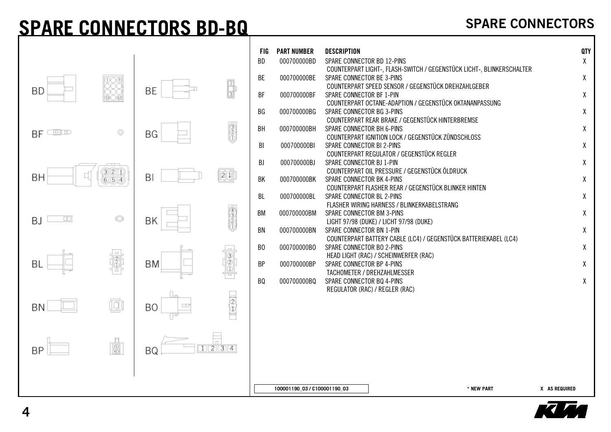### **SPARE CONNECTORS BD-BQ**



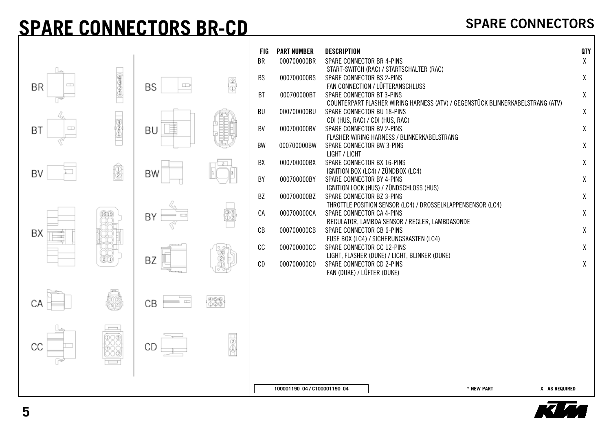### **SPARE CONNECTORS BR-CD**



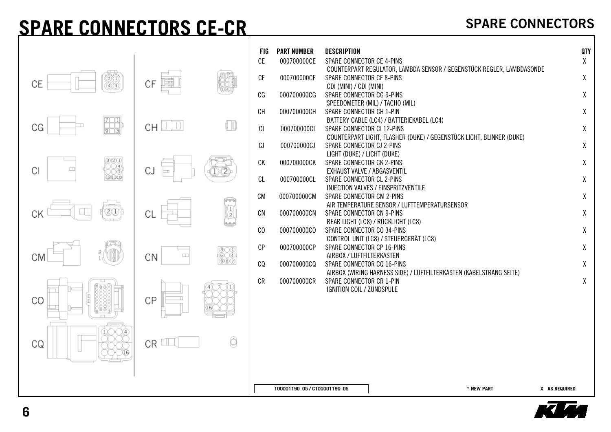### **SPARE CONNECTORS CE-CR**

|                        |                      |     | FIG<br>CE      | <b>PART NUMBER</b><br>000700000CE | <b>DESCRIPTION</b><br>SPARE CONNECTOR CE 4-PINS                                              |                                                                              |                                                                       | QTY<br>χ      |  |
|------------------------|----------------------|-----|----------------|-----------------------------------|----------------------------------------------------------------------------------------------|------------------------------------------------------------------------------|-----------------------------------------------------------------------|---------------|--|
| 66<br>CE               | 嚚<br>СF              |     | $C_{\text{F}}$ | 000700000CF                       | SPARE CONNECTOR CF 8-PINS                                                                    |                                                                              | COUNTERPART REGULATOR, LAMBDA SENSOR / GEGENSTÜCK REGLER, LAMBDASONDE | $\pmb{\chi}$  |  |
| (4) (3)                |                      |     | CG             | 000700000CG                       | CDI (MINI) / CDI (MINI)<br><b>SPARE CONNECTOR CG 9-PINS</b>                                  | SPEEDOMETER (MIL) / TACHO (MIL)                                              |                                                                       | X             |  |
|                        |                      |     | CH             | 000700000CH                       | SPARE CONNECTOR CH 1-PIN                                                                     | BATTERY CABLE (LC4) / BATTERIEKABEL (LC4)                                    |                                                                       | χ             |  |
| 駧<br>СG                | CH $\square \square$ | ŗФ  | CI             | 000700000CI                       | SPARE CONNECTOR CI 12-PINS                                                                   |                                                                              | COUNTERPART LIGHT, FLASHER (DUKE) / GEGENSTÜCK LICHT, BLINKER (DUKE)  | χ             |  |
|                        |                      |     | CJ<br>СK       | 000700000CJ<br>000700000CK        | SPARE CONNECTOR CJ 2-PINS<br>LIGHT (DUKE) / LICHT (DUKE)<br><b>SPARE CONNECTOR CK 2-PINS</b> |                                                                              |                                                                       | χ<br>χ        |  |
| CI<br>$\Box$<br>120100 | CJ                   |     | CL             | 000700000CL                       | EXHAUST VALVE / ABGASVENTIL<br>SPARE CONNECTOR CL 2-PINS                                     |                                                                              |                                                                       | χ             |  |
|                        |                      |     | <b>CM</b>      | 000700000CM                       | SPARE CONNECTOR CM 2-PINS                                                                    | INJECTION VALVES / EINSPRITZVENTILE                                          |                                                                       | χ             |  |
| ©O)                    | Cl                   | 厦   | CN             | 000700000CN                       | SPARE CONNECTOR CN 9-PINS                                                                    | AIR TEMPERATURE SENSOR / LUFTTEMPERATURSENSOR                                |                                                                       | χ             |  |
|                        |                      |     | C <sub>0</sub> | 000700000CO                       | SPARE CONNECTOR CO 34-PINS                                                                   | REAR LIGHT (LC8) / RÜCKLICHT (LC8)<br>CONTROL UNIT (LC8) / STEUERGERÄT (LC8) |                                                                       | $\pmb{\chi}$  |  |
| 2<br>СM                | $\square$<br>CN      | 600 | CP             | 000700000CP                       | <b>SPARE CONNECTOR CP 16-PINS</b><br>AIRBOX / LUFTFILTERKASTEN                               |                                                                              |                                                                       | χ             |  |
|                        |                      | 907 | CQ             | 000700000CQ                       | SPARE CONNECTOR CQ 16-PINS                                                                   |                                                                              | AIRBOX (WIRING HARNESS SIDE) / LUFTFILTERKASTEN (KABELSTRANG SEITE)   | χ             |  |
| CO                     | СP                   |     | CR             | 000700000CR                       | SPARE CONNECTOR CR 1-PIN<br>IGNITION COIL / ZÜNDSPULE                                        |                                                                              |                                                                       | χ             |  |
| CQ                     | CR                   | Ô   |                |                                   |                                                                                              |                                                                              |                                                                       |               |  |
|                        |                      |     |                | 100001190_05 / C100001190_05      |                                                                                              |                                                                              | * NEW PART                                                            | X AS REQUIRED |  |

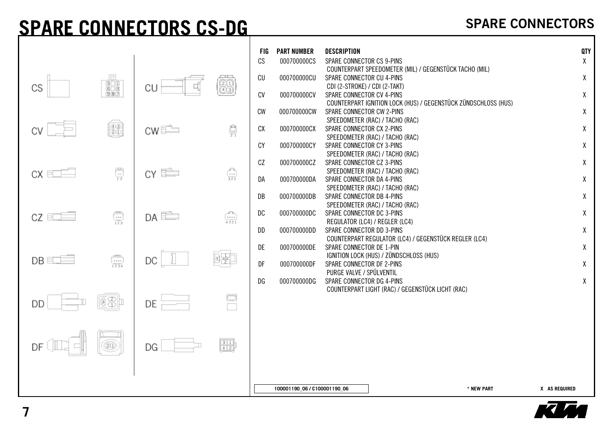### **SPARE CONNECTORS CS-DG**

|                                     |                 |                                                                                  | <b>FIG</b><br>CS | <b>PART NUMBER</b><br>000700000CS | <b>DESCRIPTION</b><br>SPARE CONNECTOR CS 9-PINS                                                                                                   | QTY<br>$\mathsf{X}$          |
|-------------------------------------|-----------------|----------------------------------------------------------------------------------|------------------|-----------------------------------|---------------------------------------------------------------------------------------------------------------------------------------------------|------------------------------|
| Jоl<br>$\frac{1}{300}$<br>CS<br>③困け | CU              | 88                                                                               | CU<br>CV         | 000700000CU<br>000700000CV        | COUNTERPART SPEEDOMETER (MIL) / GEGENSTÜCK TACHO (MIL)<br>SPARE CONNECTOR CU 4-PINS<br>CDI (2-STROKE) / CDI (2-TAKT)<br>SPARE CONNECTOR CV 4-PINS | X<br>X                       |
|                                     |                 |                                                                                  | CW               | 000700000CW                       | COUNTERPART IGNITION LOCK (HUS) / GEGENSTÜCK ZÜNDSCHLOSS (HUS)<br>SPARE CONNECTOR CW 2-PINS<br>SPEEDOMETER (RAC) / TACHO (RAC)                    | X                            |
| {@}<br>{@\$}                        | $CWE^{\perp}$   | ġ                                                                                | CX<br>CY         | 000700000CX<br>000700000CY        | SPARE CONNECTOR CX 2-PINS<br>SPEEDOMETER (RAC) / TACHO (RAC)<br>SPARE CONNECTOR CY 3-PINS                                                         | X<br>X                       |
| 류<br>$CX \trianglelefteq E$         | $CY \triangleq$ | $\begin{array}{c} \begin{array}{c} 0 \\ \hline 1 \\ 321 \end{array} \end{array}$ | CZ<br>DA         | 000700000CZ<br>000700000DA        | SPEEDOMETER (RAC) / TACHO (RAC)<br>SPARE CONNECTOR CZ 3-PINS<br>SPEEDOMETER (RAC) / TACHO (RAC)<br>SPARE CONNECTOR DA 4-PINS                      | $\mathsf{X}$<br>$\mathsf{X}$ |
|                                     |                 |                                                                                  | DB               | 000700000DB                       | SPEEDOMETER (RAC) / TACHO (RAC)<br>SPARE CONNECTOR DB 4-PINS<br>SPEEDOMETER (RAC) / TACHO (RAC)                                                   | $\mathsf{X}$                 |
| $\bigoplus_{123}$<br>$CZ = \Box$    | $DA \Box$       | $\begin{pmatrix} 1 & 0 \\ 0 & 1 \end{pmatrix}$<br>4.321                          | DC<br>DD         | 000700000DC<br>000700000DD        | SPARE CONNECTOR DC 3-PINS<br>REGULATOR (LC4) / REGLER (LC4)<br>SPARE CONNECTOR DD 3-PINS                                                          | $\mathsf{X}$<br>$\mathsf{X}$ |
|                                     |                 |                                                                                  | DE               | 000700000DE                       | COUNTERPART REGULATOR (LC4) / GEGENSTÜCK REGLER (LC4)<br>SPARE CONNECTOR DE 1-PIN<br>IGNITION LOCK (HUS) / ZÜNDSCHLOSS (HUS)                      | $\mathsf{X}$                 |
| $\frac{1}{1234}$<br>$DB \equiv$     | DC              |                                                                                  | DF<br>DG         | 000700000DF<br>000700000DG        | SPARE CONNECTOR DF 2-PINS<br>PURGE VALVE / SPÜLVENTIL<br>SPARE CONNECTOR DG 4-PINS                                                                | $\mathsf{X}$<br>$\mathsf{X}$ |
| 図器<br>DD                            | DE              | 좀                                                                                |                  |                                   | COUNTERPART LIGHT (RAC) / GEGENSTÜCK LICHT (RAC)                                                                                                  |                              |
| ©D)<br>DF                           | DG              | $\frac{3}{4}$                                                                    |                  |                                   |                                                                                                                                                   |                              |
|                                     |                 |                                                                                  |                  | 100001190_06 / C100001190_06      | * NEW PART                                                                                                                                        | X AS REQUIRED                |

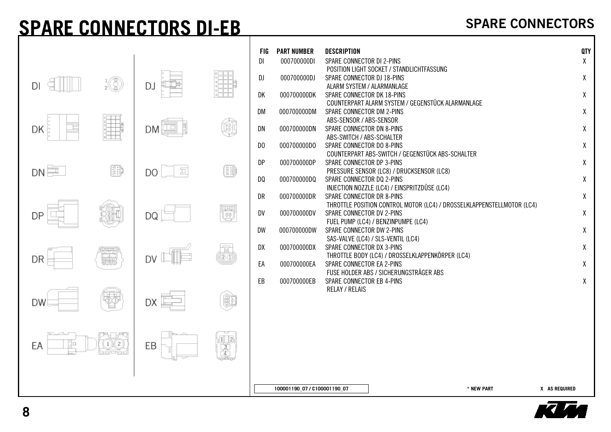### **SPARE CONNECTORS DI-EB**

|             |                              |                            |                         | <b>FIG</b>     | <b>PART NUMBER</b>           | <b>DESCRIPTION</b>                                                        | QTY |  |
|-------------|------------------------------|----------------------------|-------------------------|----------------|------------------------------|---------------------------------------------------------------------------|-----|--|
|             |                              |                            |                         | DI             | 000700000DI                  | SPARE CONNECTOR DI 2-PINS                                                 | χ   |  |
|             |                              |                            |                         |                |                              | POSITION LIGHT SOCKET / STANDLICHTFASSUNG                                 |     |  |
| DI          | $\frac{1}{2}$ $\binom{2}{2}$ |                            |                         | DJ             | 000700000DJ                  | SPARE CONNECTOR DJ 18-PINS                                                | χ   |  |
|             |                              | DJ                         |                         | DK             | 000700000DK                  | ALARM SYSTEM / ALARMANLAGE<br>SPARE CONNECTOR DK 18-PINS                  | χ   |  |
|             |                              |                            |                         |                |                              | COUNTERPART ALARM SYSTEM / GEGENSTÜCK ALARMANLAGE                         |     |  |
|             |                              |                            |                         | DM             | 000700000DM                  | SPARE CONNECTOR DM 2-PINS                                                 | χ   |  |
|             |                              |                            |                         |                |                              | ABS-SENSOR / ABS-SENSOR                                                   |     |  |
| Ī,<br>DK    |                              | DM                         | Ŵ                       | DN             | 000700000DN                  | SPARE CONNECTOR DN 8-PINS                                                 | χ   |  |
|             |                              |                            |                         |                |                              | ABS-SWITCH / ABS-SCHALTER                                                 |     |  |
|             |                              |                            |                         | D <sub>0</sub> | 000700000D0                  | SPARE CONNECTOR DO 8-PINS                                                 | χ   |  |
|             |                              |                            |                         |                |                              | COUNTERPART ABS-SWITCH / GEGENSTÜCK ABS-SCHALTER                          |     |  |
|             |                              |                            |                         | DP             | 000700000DP                  | SPARE CONNECTOR DP 3-PINS                                                 | χ   |  |
| $DN \equiv$ | 翢                            | $\overline{\square}$<br>DO | œ                       |                |                              | PRESSURE SENSOR (LC8) / DRUCKSENSOR (LC8)                                 |     |  |
|             |                              |                            |                         | DQ             | 000700000DQ                  | SPARE CONNECTOR DQ 2-PINS                                                 | χ   |  |
|             |                              |                            |                         | DR             | 000700000DR                  | INJECTION NOZZLE (LC4) / EINSPRITZDÜSE (LC4)<br>SPARE CONNECTOR DR 8-PINS | χ   |  |
|             |                              |                            |                         |                |                              | THROTTLE POSITION CONTROL MOTOR (LC4) / DROSSELKLAPPENSTELLMOTOR (LC4)    |     |  |
|             |                              |                            | U                       | DV             | 000700000DV                  | SPARE CONNECTOR DV 2-PINS                                                 | χ   |  |
| DP          |                              | DQ                         |                         |                |                              | FUEL PUMP (LC4) / BENZINPUMPE (LC4)                                       |     |  |
|             |                              |                            |                         | DW             | 000700000DW                  | SPARE CONNECTOR DW 2-PINS                                                 | χ   |  |
|             |                              |                            |                         |                |                              | SAS-VALVE (LC4) / SLS-VENTIL (LC4)                                        |     |  |
|             |                              |                            |                         | DX             | 000700000DX                  | SPARE CONNECTOR DX 3-PINS                                                 | X   |  |
| DR          | er                           | DV                         | $\overline{\mathbb{B}}$ |                |                              | THROTTLE BODY (LC4) / DROSSELKLAPPENKÖRPER (LC4)                          |     |  |
|             |                              |                            |                         | EA             | 000700000EA                  | SPARE CONNECTOR EA 2-PINS                                                 | X   |  |
|             |                              |                            |                         |                |                              | FUSE HOLDER ABS / SICHERUNGSTRÄGER ABS                                    |     |  |
|             |                              |                            |                         | EB             | 000700000EB                  | SPARE CONNECTOR EB 4-PINS                                                 | χ   |  |
|             |                              |                            |                         |                |                              | <b>RELAY / RELAIS</b>                                                     |     |  |
| DW          |                              | DX .                       | 髄                       |                |                              |                                                                           |     |  |
|             |                              |                            |                         |                |                              |                                                                           |     |  |
|             |                              |                            |                         |                |                              |                                                                           |     |  |
|             | '나리                          |                            |                         |                |                              |                                                                           |     |  |
| 10<br>ЕA    | (1)(2)                       | EВ                         | 1 2                     |                |                              |                                                                           |     |  |
|             | e promo d                    |                            | $\frac{3}{4}$           |                |                              |                                                                           |     |  |
|             |                              |                            |                         |                |                              |                                                                           |     |  |
|             |                              |                            |                         |                |                              |                                                                           |     |  |
|             |                              |                            |                         |                |                              |                                                                           |     |  |
|             |                              |                            |                         |                | 100001190 07 / C100001190 07 | * NEW PART<br>X AS REQUIRED                                               |     |  |

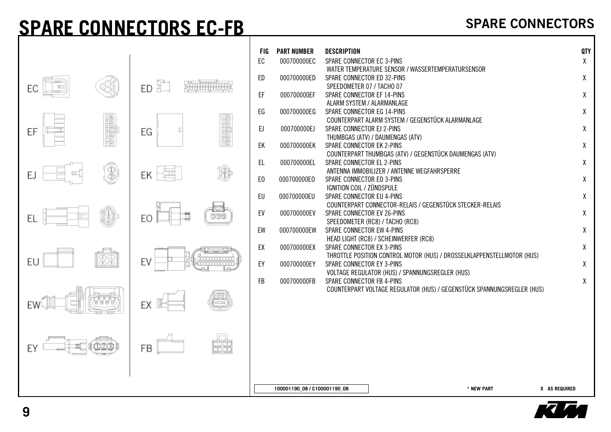### **SPARE CONNECTORS EC-FB**

|                |                 | FIG            | <b>PART NUMBER</b>           | <b>DESCRIPTION</b>                                                                                  | <b>QTY</b> |
|----------------|-----------------|----------------|------------------------------|-----------------------------------------------------------------------------------------------------|------------|
|                |                 | EC             | 000700000EC                  | SPARE CONNECTOR EC 3-PINS                                                                           | X          |
|                |                 |                |                              | WATER TEMPERATURE SENSOR / WASSERTEMPERATURSENSOR                                                   |            |
|                |                 | ED             | 000700000ED                  | SPARE CONNECTOR ED 32-PINS                                                                          | χ          |
| EC             | ED $\mathbb{F}$ |                |                              | SPEEDOMETER 07 / TACHO 07                                                                           |            |
|                |                 | EF             | 000700000EF                  | SPARE CONNECTOR EF 14-PINS                                                                          | χ          |
|                |                 |                |                              | ALARM SYSTEM / ALARMANLAGE                                                                          |            |
| - 15           |                 | EG             | 000700000EG                  | SPARE CONNECTOR EG 14-PINS<br>COUNTERPART ALARM SYSTEM / GEGENSTÜCK ALARMANLAGE                     | χ          |
|                |                 | EJ             | 000700000EJ                  | SPARE CONNECTOR EJ 2-PINS                                                                           | χ          |
| ЕF             | EG              |                |                              | THUMBGAS (ATV) / DAUMENGAS (ATV)                                                                    |            |
|                |                 | EK             | 000700000EK                  | SPARE CONNECTOR EK 2-PINS                                                                           | χ          |
|                |                 |                |                              | COUNTERPART THUMBGAS (ATV) / GEGENSTÜCK DAUMENGAS (ATV)                                             |            |
|                |                 | EL.            | 000700000EL                  | SPARE CONNECTOR EL 2-PINS                                                                           | χ          |
| 3<br>E.        | ΕK              |                |                              | ANTENNA IMMOBILIZER / ANTENNE WEGFAHRSPERRE                                                         |            |
|                |                 | E <sub>0</sub> | 000700000E0                  | SPARE CONNECTOR EO 3-PINS                                                                           | X          |
|                |                 | EU             | 000700000EU                  | IGNITION COIL / ZÜNDSPULE<br>SPARE CONNECTOR EU 4-PINS                                              | χ          |
|                |                 |                |                              | COUNTERPART CONNECTOR-RELAIS / GEGENSTÜCK STECKER-RELAIS                                            |            |
|                | 1               | EV             | 000700000EV                  | SPARE CONNECTOR EV 26-PINS                                                                          | χ          |
|                | EO              |                |                              | SPEEDOMETER (RC8) / TACHO (RC8)                                                                     |            |
|                |                 | EW             | 000700000EW                  | SPARE CONNECTOR EW 4-PINS                                                                           | χ          |
|                |                 |                |                              | HEAD LIGHT (RC8) / SCHEINWERFER (RC8)                                                               |            |
|                |                 | EX             | 000700000EX                  | SPARE CONNECTOR EX 3-PINS<br>THROTTLE POSITION CONTROL MOTOR (HUS) / DROSSELKLAPPENSTELLMOTOR (HUS) | X          |
| an<br>an<br>EU | EV              | EY             | 000700000EY                  | SPARE CONNECTOR EY 3-PINS                                                                           | χ          |
|                |                 |                |                              | <b>VOLTAGE REGULATOR (HUS) / SPANNUNGSREGLER (HUS)</b>                                              |            |
|                |                 | <b>FB</b>      | 000700000FB                  | SPARE CONNECTOR FB 4-PINS                                                                           | χ          |
|                |                 |                |                              | COUNTERPART VOLTAGE REGULATOR (HUS) / GEGENSTÜCK SPANNUNGSREGLER (HUS)                              |            |
|                | EX              |                |                              |                                                                                                     |            |
| EW             |                 |                |                              |                                                                                                     |            |
|                |                 |                |                              |                                                                                                     |            |
|                |                 |                |                              |                                                                                                     |            |
|                |                 |                |                              |                                                                                                     |            |
|                | FB              |                |                              |                                                                                                     |            |
|                |                 |                |                              |                                                                                                     |            |
|                |                 |                |                              |                                                                                                     |            |
|                |                 |                |                              |                                                                                                     |            |
|                |                 |                | 100001190_08 / C100001190_08 | * NEW PART<br>X AS REQUIRED                                                                         |            |